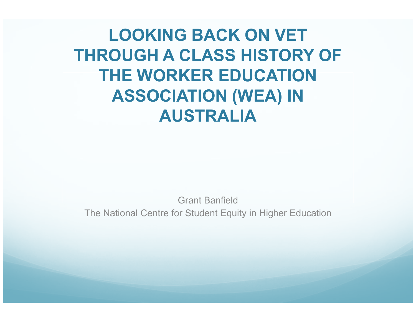LOOKING BACK ON VET THROUGH A CLASS HISTORY OF THE WORKER EDUCATION ASSOCIATION (WEA) IN AUSTRALIA

Grant BanfieldThe National Centre for Student Equity in Higher Education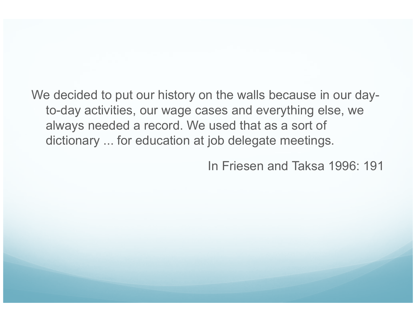We decided to put our history on the walls because in our dayto-day activities, our wage cases and everything else, we always needed a record. We used that as a sort of dictionary ... for education at job delegate meetings.

In Friesen and Taksa 1996: 191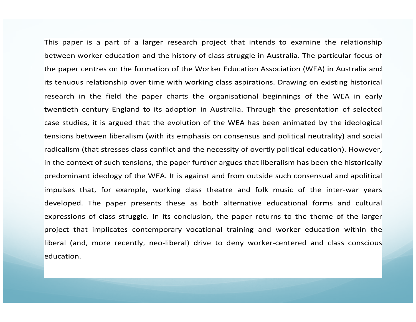This paper is a part of a larger research project that intends to examine the relationship between worker education and the history of class struggle in Australia. The particular focus of the paper centres on the formation of the Worker Education Association (WEA) in Australia and its tenuous relationship over time with working class aspirations. Drawing on existing historical research in the field the paper charts the organisational beginnings of the WEA in early twentieth century England to its adoption in Australia. Through the presentation of selected case studies, it is argued that the evolution of the WEA has been animated by the ideological tensions between liberalism (with its emphasis on consensus and political neutrality) and social radicalism (that stresses class conflict and the necessity of overtly political education). However, in the context of such tensions, the paper further argues that liberalism has been the historically predominant ideology of the WEA. It is against and from outside such consensual and apolitical impulses that, for example, working class theatre and folk music of the inter-war years developed. The paper presents these as both alternative educational forms and cultural expressions of class struggle. In its conclusion, the paper returns to the theme of the larger project that implicates contemporary vocational training and worker education within the liberal (and, more recently, neo-liberal) drive to deny worker-centered and class conscious education.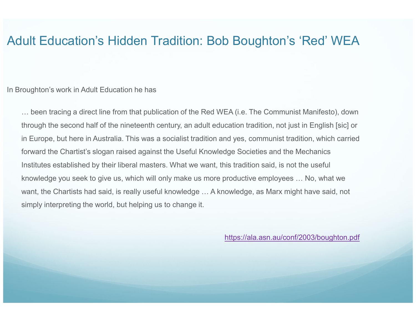## Adult Education's Hidden Tradition: Bob Boughton's 'Red' WEA

In Broughton's work in Adult Education he has

… been tracing a direct line from that publication of the Red WEA (i.e. The Communist Manifesto), down through the second half of the nineteenth century, an adult education tradition, not just in English [sic] or in Europe, but here in Australia. This was a socialist tradition and yes, communist tradition, which carried forward the Chartist's slogan raised against the Useful Knowledge Societies and the Mechanics Institutes established by their liberal masters. What we want, this tradition said, is not the useful knowledge you seek to give us, which will only make us more productive employees … No, what we want, the Chartists had said, is really useful knowledge … A knowledge, as Marx might have said, not simply interpreting the world, but helping us to change it.

https://ala.asn.au/conf/2003/boughton.pdf